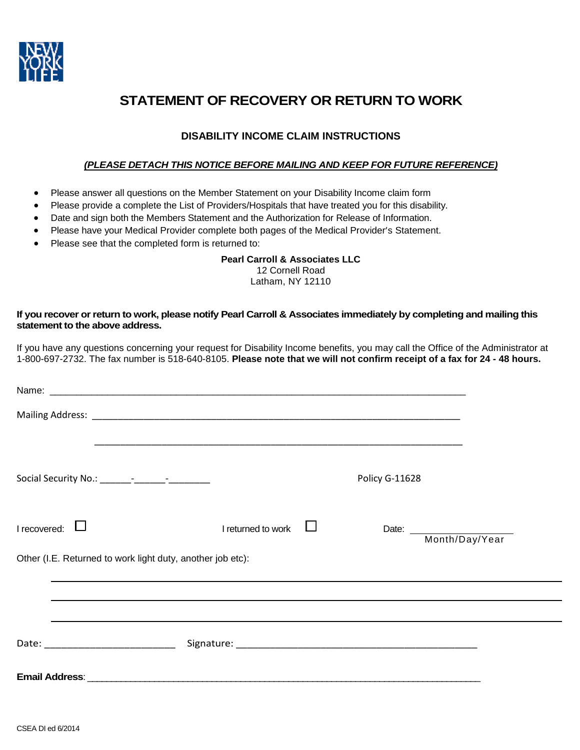

# **STATEMENT OF RECOVERY OR RETURN TO WORK**

# **DISABILITY INCOME CLAIM INSTRUCTIONS**

### *(PLEASE DETACH THIS NOTICE BEFORE MAILING AND KEEP FOR FUTURE REFERENCE)*

- Please answer all questions on the Member Statement on your Disability Income claim form
- Please provide a complete the List of Providers/Hospitals that have treated you for this disability.
- Date and sign both the Members Statement and the Authorization for Release of Information.
- Please have your Medical Provider complete both pages of the Medical Provider's Statement.
- Please see that the completed form is returned to:

### **Pearl Carroll & Associates LLC**

12 Cornell Road Latham, NY 12110

### **If you recover or return to work, please notify Pearl Carroll & Associates immediately by completing and mailing this statement to the above address.**

If you have any questions concerning your request for Disability Income benefits, you may call the Office of the Administrator at 1-800-697-2732. The fax number is 518-640-8105. **Please note that we will not confirm receipt of a fax for 24 - 48 hours.**

|                                                            |                    | <b>Policy G-11628</b> |                      |
|------------------------------------------------------------|--------------------|-----------------------|----------------------|
| $I$ recovered: $\Box$                                      | I returned to work |                       | Date: Month/Day/Year |
| Other (I.E. Returned to work light duty, another job etc): |                    |                       |                      |
|                                                            |                    |                       |                      |
|                                                            |                    |                       |                      |
|                                                            |                    |                       |                      |
|                                                            |                    |                       |                      |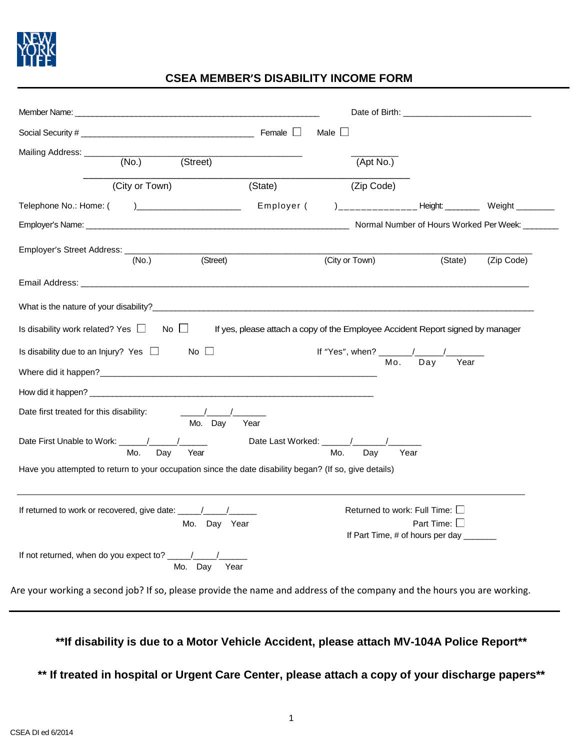

# **CSEA MEMBER'S DISABILITY INCOME FORM**

|                                                                                                        |                 |                                                                                                                                                                                                                                |                | Date of Birth: <u>Date of Birth:</u>                                                                                                                                                                                                                                                                                                                                                                               |                   |         |                                                |
|--------------------------------------------------------------------------------------------------------|-----------------|--------------------------------------------------------------------------------------------------------------------------------------------------------------------------------------------------------------------------------|----------------|--------------------------------------------------------------------------------------------------------------------------------------------------------------------------------------------------------------------------------------------------------------------------------------------------------------------------------------------------------------------------------------------------------------------|-------------------|---------|------------------------------------------------|
|                                                                                                        |                 |                                                                                                                                                                                                                                | Male $\square$ |                                                                                                                                                                                                                                                                                                                                                                                                                    |                   |         |                                                |
| Mailing Address:<br>(No.)                                                                              | (Street)        |                                                                                                                                                                                                                                |                | (Apt No.)                                                                                                                                                                                                                                                                                                                                                                                                          |                   |         |                                                |
| (City or Town)                                                                                         |                 | (State)                                                                                                                                                                                                                        |                | (Zip Code)                                                                                                                                                                                                                                                                                                                                                                                                         |                   |         |                                                |
| Telephone No.: Home: (                                                                                 |                 | Employer (                                                                                                                                                                                                                     |                |                                                                                                                                                                                                                                                                                                                                                                                                                    |                   |         |                                                |
|                                                                                                        |                 |                                                                                                                                                                                                                                |                |                                                                                                                                                                                                                                                                                                                                                                                                                    |                   |         | Normal Number of Hours Worked Per Week: ______ |
|                                                                                                        |                 |                                                                                                                                                                                                                                |                |                                                                                                                                                                                                                                                                                                                                                                                                                    |                   |         |                                                |
| (No.)                                                                                                  | (Street)        |                                                                                                                                                                                                                                | (City or Town) |                                                                                                                                                                                                                                                                                                                                                                                                                    |                   | (State) | (Zip Code)                                     |
|                                                                                                        |                 |                                                                                                                                                                                                                                |                |                                                                                                                                                                                                                                                                                                                                                                                                                    |                   |         |                                                |
|                                                                                                        |                 |                                                                                                                                                                                                                                |                |                                                                                                                                                                                                                                                                                                                                                                                                                    |                   |         |                                                |
| What is the nature of your disability?<br>The same state of your disability?                           |                 |                                                                                                                                                                                                                                |                |                                                                                                                                                                                                                                                                                                                                                                                                                    |                   |         |                                                |
|                                                                                                        |                 |                                                                                                                                                                                                                                |                |                                                                                                                                                                                                                                                                                                                                                                                                                    |                   |         |                                                |
| Is disability work related? Yes $\Box$ No $\Box$                                                       |                 | If yes, please attach a copy of the Employee Accident Report signed by manager                                                                                                                                                 |                |                                                                                                                                                                                                                                                                                                                                                                                                                    |                   |         |                                                |
|                                                                                                        |                 |                                                                                                                                                                                                                                |                |                                                                                                                                                                                                                                                                                                                                                                                                                    |                   |         |                                                |
| Is disability due to an Injury? Yes $\Box$ No $\Box$                                                   |                 |                                                                                                                                                                                                                                |                | If "Yes", when? $\frac{1}{\sqrt{1-\frac{1}{\sqrt{1-\frac{1}{\sqrt{1-\frac{1}{\sqrt{1-\frac{1}{\sqrt{1-\frac{1}{\sqrt{1-\frac{1}{\sqrt{1-\frac{1}{\sqrt{1-\frac{1}{\sqrt{1-\frac{1}{\sqrt{1-\frac{1}{\sqrt{1-\frac{1}{\sqrt{1-\frac{1}{\sqrt{1-\frac{1}{\sqrt{1-\frac{1}{\sqrt{1-\frac{1}{\sqrt{1-\frac{1}{\sqrt{1-\frac{1}{\sqrt{1-\frac{1}{\sqrt{1-\frac{1}{\sqrt{1-\frac{1}{\sqrt{1-\frac{1}{\sqrt{1-\frac{1}{\$ |                   | Year    |                                                |
|                                                                                                        |                 |                                                                                                                                                                                                                                |                |                                                                                                                                                                                                                                                                                                                                                                                                                    |                   |         |                                                |
|                                                                                                        |                 |                                                                                                                                                                                                                                |                |                                                                                                                                                                                                                                                                                                                                                                                                                    |                   |         |                                                |
| Date first treated for this disability:                                                                | $\sqrt{1-1}$    |                                                                                                                                                                                                                                |                |                                                                                                                                                                                                                                                                                                                                                                                                                    |                   |         |                                                |
|                                                                                                        | Mo. Day<br>Year |                                                                                                                                                                                                                                |                |                                                                                                                                                                                                                                                                                                                                                                                                                    |                   |         |                                                |
| Mo.<br>Day                                                                                             | Year            | Date Last Worked: \\cdot \\sqrt{\math{\math{\math{\math{\math{\math{\math{\math{\math{\math{\math{\math{\math{\math{\math{\math{\math{\math{\math{\math{\math{\math{\math{\math{\math{\math{\math{\math{\math{\math{\math{\mat | Mo.            | Day                                                                                                                                                                                                                                                                                                                                                                                                                | Year              |         |                                                |
| Have you attempted to return to your occupation since the date disability began? (If so, give details) |                 |                                                                                                                                                                                                                                |                |                                                                                                                                                                                                                                                                                                                                                                                                                    |                   |         |                                                |
|                                                                                                        |                 |                                                                                                                                                                                                                                |                |                                                                                                                                                                                                                                                                                                                                                                                                                    |                   |         |                                                |
|                                                                                                        |                 |                                                                                                                                                                                                                                |                |                                                                                                                                                                                                                                                                                                                                                                                                                    |                   |         |                                                |
|                                                                                                        |                 |                                                                                                                                                                                                                                |                | Returned to work: Full Time: $\square$                                                                                                                                                                                                                                                                                                                                                                             |                   |         |                                                |
|                                                                                                        | Mo. Day Year    |                                                                                                                                                                                                                                |                | If Part Time, # of hours per day _______                                                                                                                                                                                                                                                                                                                                                                           | Part Time: $\Box$ |         |                                                |
|                                                                                                        |                 |                                                                                                                                                                                                                                |                |                                                                                                                                                                                                                                                                                                                                                                                                                    |                   |         |                                                |

**\*\*If disability is due to a Motor Vehicle Accident, please attach MV-104A Police Report\*\*** 

**\*\* If treated in hospital or Urgent Care Center, please attach a copy of your discharge papers\*\***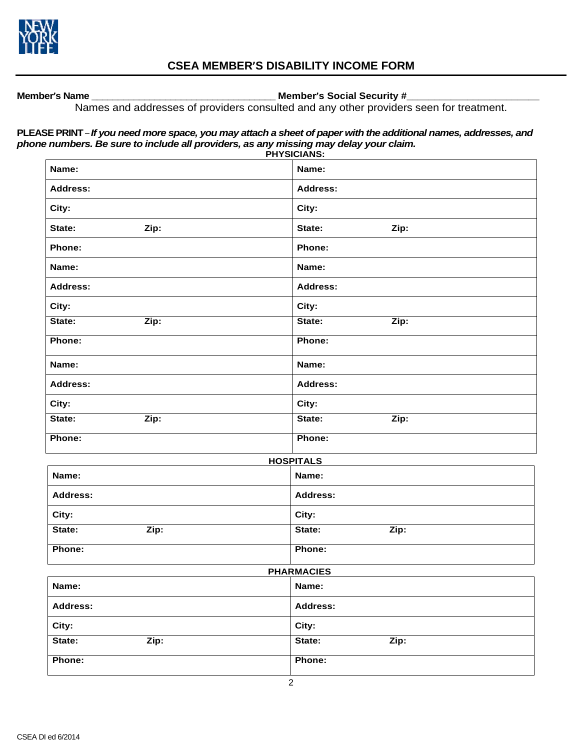

# **CSEA MEMBER'S DISABILITY INCOME FORM**

**Member's Name \_\_\_\_\_\_\_\_\_\_\_\_\_\_\_\_\_\_\_\_\_\_\_\_\_\_\_\_\_\_\_\_\_\_\_ Member's Social Security #\_\_\_\_\_\_\_\_\_\_\_\_\_\_\_\_\_\_\_\_\_\_\_\_**

Names and addresses of providers consulted and any other providers seen for treatment.

## **PLEASE PRINT** – *If you need more space, you may attach a sheet of paper with the additional names, addresses, and phone numbers. Be sure to include all providers, as any missing may delay your claim.*

|                 | <b>PHYSICIANS:</b> |
|-----------------|--------------------|
| Name:           | Name:              |
| Address:        | Address:           |
| City:           | City:              |
| State:<br>Zip:  | State:<br>Zip:     |
| Phone:          | Phone:             |
| Name:           | Name:              |
| <b>Address:</b> | <b>Address:</b>    |
| City:           | City:              |
| State:<br>Zip:  | State:<br>Zip:     |
| Phone:          | Phone:             |
| Name:           | Name:              |
| <b>Address:</b> | Address:           |
| City:           | City:              |
| Zip:<br>State:  | State:<br>Zip:     |
| Phone:          | Phone:             |
|                 | <b>HOSPITALS</b>   |
| Name:           | Name:              |
| <b>Address:</b> | <b>Address:</b>    |
| City:           | City:              |
| Zip:<br>State:  | State:<br>Zip:     |
| Phone:          | Phone:             |
|                 | <b>PHARMACIES</b>  |
| Name:           | Name:              |
| Address:        | <b>Address:</b>    |
| City:           | City:              |
| State:<br>Zip:  | State:<br>Zip:     |
| Phone:          | Phone:             |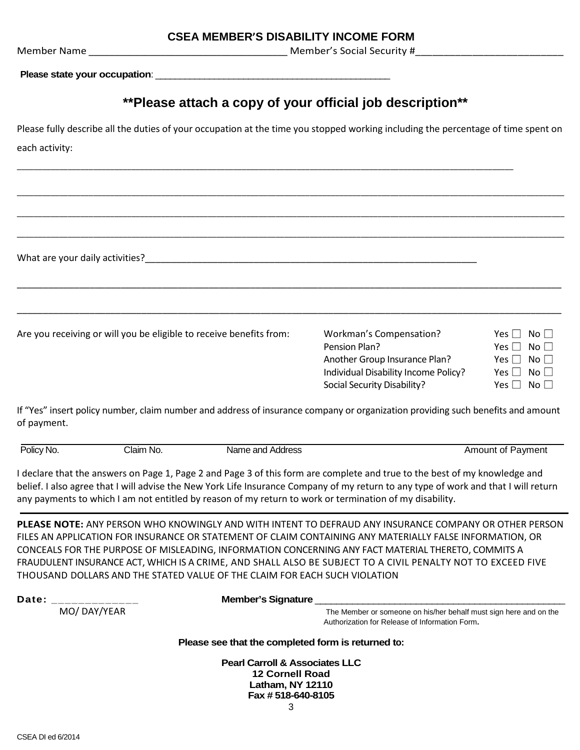Member Name \_\_\_\_\_\_\_\_\_\_\_\_\_\_\_\_\_\_\_\_\_\_\_\_\_\_\_\_\_\_\_\_\_\_\_\_\_\_\_ Member's Social Security #\_\_\_\_\_\_\_\_\_\_\_\_\_\_\_\_\_\_\_\_\_\_\_\_\_\_

Please state your occupation: **with the state of the state of the state** of the state of the state of the state of the state of the state of the state of the state of the state of the state of the state of the state of the

# **\*\*Please attach a copy of your official job description\*\***

Please fully describe all the duties of your occupation at the time you stopped working including the percentage of time spent on each activity:

\_\_\_\_\_\_\_\_\_\_\_\_\_\_\_\_\_\_\_\_\_\_\_\_\_\_\_\_\_\_\_\_\_\_\_\_\_\_\_\_\_\_\_\_\_\_\_\_\_\_\_\_\_\_\_\_\_\_\_\_\_\_\_\_\_\_\_\_\_\_\_\_\_\_\_\_\_\_\_\_\_\_\_\_\_\_\_\_\_\_\_\_\_\_\_\_\_\_\_\_\_\_\_\_\_\_\_\_\_\_\_\_\_\_\_\_\_\_\_\_\_\_\_\_\_\_\_\_\_

\_\_\_\_\_\_\_\_\_\_\_\_\_\_\_\_\_\_\_\_\_\_\_\_\_\_\_\_\_\_\_\_\_\_\_\_\_\_\_\_\_\_\_\_\_\_\_\_\_\_\_\_\_\_\_\_\_\_\_\_\_\_\_\_\_\_\_\_\_\_\_\_\_\_\_\_\_\_\_\_\_\_\_\_\_\_\_\_\_\_\_\_\_\_\_\_\_\_\_\_\_\_\_\_\_\_\_\_\_\_\_\_\_\_\_\_\_\_\_\_\_\_\_\_\_\_\_\_\_

\_\_\_\_\_\_\_\_\_\_\_\_\_\_\_\_\_\_\_\_\_\_\_\_\_\_\_\_\_\_\_\_\_\_\_\_\_\_\_\_\_\_\_\_\_\_\_\_\_\_\_\_\_\_\_\_\_\_\_\_\_\_\_\_\_\_\_\_\_\_\_\_\_\_\_\_\_\_\_\_\_\_\_\_\_\_\_\_\_\_\_\_\_\_\_\_\_\_\_\_\_\_\_\_\_\_\_\_\_\_\_\_\_\_\_\_\_\_\_\_\_\_\_\_\_\_\_\_\_

\_\_\_\_\_\_\_\_\_\_\_\_\_\_\_\_\_\_\_\_\_\_\_\_\_\_\_\_\_\_\_\_\_\_\_\_\_\_\_\_\_\_\_\_\_\_\_\_\_\_\_\_\_\_\_\_\_\_\_\_\_\_\_\_\_\_\_\_\_\_\_\_\_\_\_\_\_\_\_\_\_\_\_\_\_\_\_\_\_\_\_\_\_\_\_\_\_\_\_\_\_\_\_\_\_

\_\_\_\_\_\_\_\_\_\_\_\_\_\_\_\_\_\_\_\_\_\_\_\_\_\_\_\_\_\_\_\_\_\_\_\_\_\_\_\_\_\_\_\_\_\_\_\_\_\_\_\_\_\_\_\_\_\_\_\_\_\_\_\_\_\_\_\_\_\_\_\_\_\_\_\_\_\_\_\_\_\_\_\_\_\_\_\_\_\_\_\_\_\_\_\_\_\_\_\_\_\_\_\_\_

\_\_\_\_\_\_\_\_\_\_\_\_\_\_\_\_\_\_\_\_\_\_\_\_\_\_\_\_\_\_\_\_\_\_\_\_\_\_\_\_\_\_\_\_\_\_\_\_\_\_\_\_\_\_\_\_\_\_\_\_\_\_\_\_\_\_\_\_\_\_\_\_\_\_\_\_\_\_\_\_\_\_\_\_\_\_\_\_\_\_\_\_\_\_\_\_\_\_\_\_\_\_\_\_\_\_\_\_\_\_\_\_\_\_\_\_\_

What are your daily activities?\_\_\_\_\_\_\_\_\_\_\_\_\_\_\_\_\_\_\_\_\_\_\_\_\_\_\_\_\_\_\_\_\_\_\_\_\_\_\_\_\_\_\_\_\_\_\_\_\_\_\_\_\_\_\_\_\_\_\_\_\_\_\_\_

Are you receiving or will you be eligible to receive benefits from: Workman's Compensation? Yes  $\Box$  No  $\Box$ 

| Workman's Compensation?              | Yes $\Box$ No $\Box$ |
|--------------------------------------|----------------------|
| Pension Plan?                        | Yes $\Box$ No $\Box$ |
| Another Group Insurance Plan?        | Yes $\Box$ No $\Box$ |
| Individual Disability Income Policy? | Yes $\Box$ No $\Box$ |
| Social Security Disability?          | Yes $\Box$ No $\Box$ |

If "Yes" insert policy number, claim number and address of insurance company or organization providing such benefits and amount of payment.

| Policy No. | Claim No. | Name and Address | Amount of Payment |
|------------|-----------|------------------|-------------------|
| .          |           | .                |                   |
|            | __        |                  |                   |

I declare that the answers on Page 1, Page 2 and Page 3 of this form are complete and true to the best of my knowledge and belief. I also agree that I will advise the New York Life Insurance Company of my return to any type of work and that I will return any payments to which I am not entitled by reason of my return to work or termination of my disability.

**PLEASE NOTE:** ANY PERSON WHO KNOWINGLY AND WITH INTENT TO DEFRAUD ANY INSURANCE COMPANY OR OTHER PERSON FILES AN APPLICATION FOR INSURANCE OR STATEMENT OF CLAIM CONTAINING ANY MATERIALLY FALSE INFORMATION, OR CONCEALS FOR THE PURPOSE OF MISLEADING, INFORMATION CONCERNING ANY FACT MATERIAL THERETO, COMMITS A FRAUDULENT INSURANCE ACT, WHICH IS A CRIME, AND SHALL ALSO BE SUBJECT TO A CIVIL PENALTY NOT TO EXCEED FIVE THOUSAND DOLLARS AND THE STATED VALUE OF THE CLAIM FOR EACH SUCH VIOLATION

| Date:        | <b>Member's Signature</b>                                                                                           |
|--------------|---------------------------------------------------------------------------------------------------------------------|
| MO/ DAY/YEAR | The Member or someone on his/her behalf must sign here and on the<br>Authorization for Release of Information Form. |
|              | Please see that the completed form is returned to:                                                                  |
|              | <b>Pearl Carroll &amp; Associates LLC</b>                                                                           |

**12 Cornell Road Latham, NY 12110 Fax # 518-640-8105**  3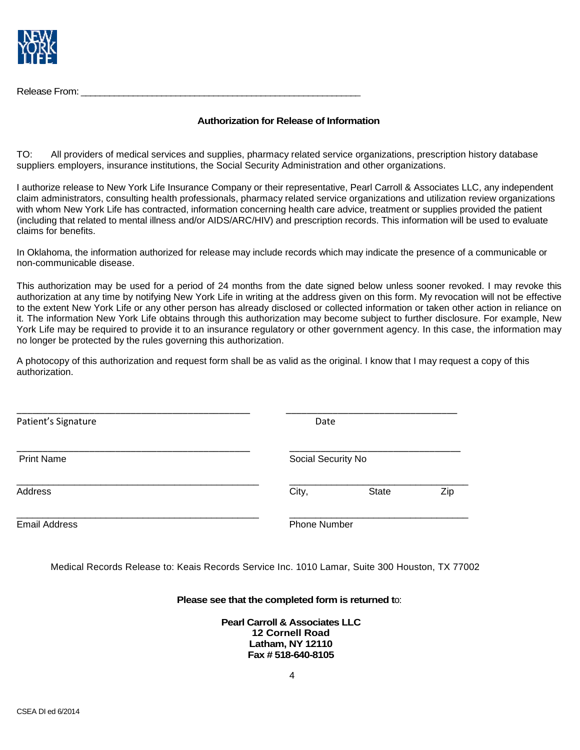

Release From: \_\_\_\_\_\_\_\_\_\_\_\_\_\_\_\_\_\_\_\_\_\_\_\_\_\_\_\_\_\_\_\_\_\_\_\_\_\_\_\_\_\_\_\_\_\_\_\_\_\_\_\_\_\_\_\_\_\_\_

### **Authorization for Release of Information**

TO: All providers of medical services and supplies, pharmacy related service organizations, prescription history database suppliers, employers, insurance institutions, the Social Security Administration and other organizations.

I authorize release to New York Life Insurance Company or their representative, Pearl Carroll & Associates LLC, any independent claim administrators, consulting health professionals, pharmacy related service organizations and utilization review organizations with whom New York Life has contracted, information concerning health care advice, treatment or supplies provided the patient (including that related to mental illness and/or AIDS/ARC/HIV) and prescription records. This information will be used to evaluate claims for benefits.

In Oklahoma, the information authorized for release may include records which may indicate the presence of a communicable or non-communicable disease.

This authorization may be used for a period of 24 months from the date signed below unless sooner revoked. I may revoke this authorization at any time by notifying New York Life in writing at the address given on this form. My revocation will not be effective to the extent New York Life or any other person has already disclosed or collected information or taken other action in reliance on it. The information New York Life obtains through this authorization may become subject to further disclosure. For example, New York Life may be required to provide it to an insurance regulatory or other government agency. In this case, the information may no longer be protected by the rules governing this authorization.

A photocopy of this authorization and request form shall be as valid as the original. I know that I may request a copy of this authorization.

| Patient's Signature  | Date                |              |     |
|----------------------|---------------------|--------------|-----|
| <b>Print Name</b>    | Social Security No  |              |     |
| Address              | City,               | <b>State</b> | Zip |
| <b>Email Address</b> | <b>Phone Number</b> |              |     |

Medical Records Release to: Keais Records Service Inc. 1010 Lamar, Suite 300 Houston, TX 77002

#### **Please see that the completed form is returned t**o:

**Pearl Carroll & Associates LLC 12 Cornell Road Latham, NY 12110 Fax # 518-640-8105**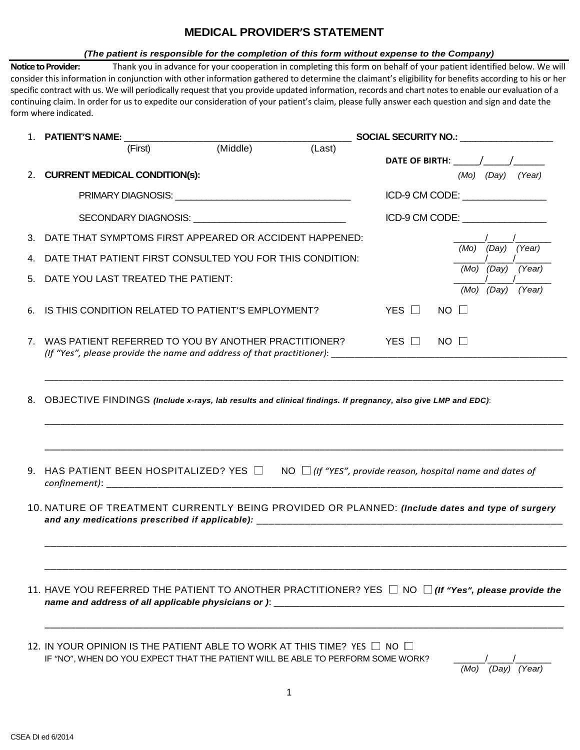# **MEDICAL PROVIDER'S STATEMENT**

#### *(The patient is responsible for the completion of this form without expense to the Company)*

**Notice to Provider:** Thank you in advance for your cooperation in completing this form on behalf of your patient identified below. We will consider this information in conjunction with other information gathered to determine the claimant's eligibility for benefits according to his or her specific contract with us. We will periodically request that you provide updated information, records and chart notes to enable our evaluation of a continuing claim. In order for us to expedite our consideration of your patient's claim, please fully answer each question and sign and date the form where indicated.

|    | 1. PATIENT'S NAME:                                                                                                                                                   |          |        | SOCIAL SECURITY NO.:  SOCIAL SECURITY NO.: |             |                         |              |
|----|----------------------------------------------------------------------------------------------------------------------------------------------------------------------|----------|--------|--------------------------------------------|-------------|-------------------------|--------------|
|    | (First)                                                                                                                                                              | (Middle) | (Last) | DATE OF BIRTH: / /                         |             |                         |              |
|    | 2. CURRENT MEDICAL CONDITION(s):                                                                                                                                     |          |        |                                            |             | $(Mo)$ $(Day)$ $(Year)$ |              |
|    |                                                                                                                                                                      |          |        | ICD-9 CM CODE: ______________              |             |                         |              |
|    | SECONDARY DIAGNOSIS: University of the SECONDARY DIAGNOSIS:                                                                                                          |          |        | ICD-9 CM CODE:                             |             |                         |              |
| 3. | DATE THAT SYMPTOMS FIRST APPEARED OR ACCIDENT HAPPENED:                                                                                                              |          |        |                                            |             |                         |              |
| 4. | DATE THAT PATIENT FIRST CONSULTED YOU FOR THIS CONDITION:                                                                                                            |          |        |                                            | (Mo)        |                         | (Day) (Year) |
| 5. | DATE YOU LAST TREATED THE PATIENT:                                                                                                                                   |          |        |                                            |             | (Mo) (Day) (Year)       |              |
|    |                                                                                                                                                                      |          |        |                                            |             | (Mo) (Day)              | (Year)       |
| 6. | IS THIS CONDITION RELATED TO PATIENT'S EMPLOYMENT?                                                                                                                   |          |        | YES L                                      | $NO \Box$   |                         |              |
|    | 7. WAS PATIENT REFERRED TO YOU BY ANOTHER PRACTITIONER?<br>(If "Yes", please provide the name and address of that practitioner): ______________________________      |          |        | YES □                                      | $NO$ $\Box$ |                         |              |
|    |                                                                                                                                                                      |          |        |                                            |             |                         |              |
|    | HAS PATIENT BEEN HOSPITALIZED? YES $\Box$ NO $\Box$ (If "YES", provide reason, hospital name and dates of                                                            |          |        |                                            |             |                         |              |
| 9. | 10. NATURE OF TREATMENT CURRENTLY BEING PROVIDED OR PLANNED: (Include dates and type of surgery                                                                      |          |        |                                            |             |                         |              |
|    |                                                                                                                                                                      |          |        |                                            |             |                         |              |
|    | 11. HAVE YOU REFERRED THE PATIENT TO ANOTHER PRACTITIONER? YES $\Box$ NO $\Box$ (If "Yes", please provide the<br>name and address of all applicable physicians or ): |          |        |                                            |             |                         |              |

 *(Mo) (Day) (Year)*